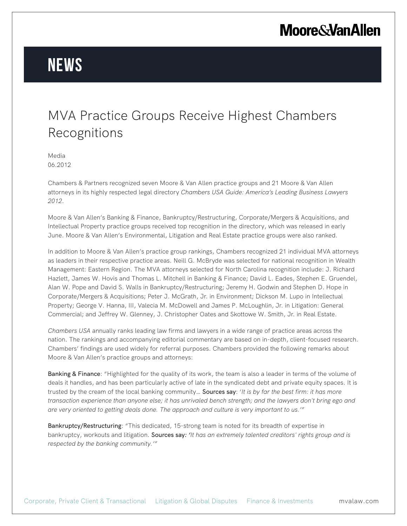# **Moore & Van Allen**

# **News**

### MVA Practice Groups Receive Highest Chambers Recognitions

Media 06.2012

Chambers & Partners recognized seven Moore & Van Allen practice groups and 21 Moore & Van Allen attorneys in its highly respected legal directory *Chambers USA Guide: America's Leading Business Lawyers 2012*.

Moore & Van Allen's Banking & Finance, Bankruptcy/Restructuring, Corporate/Mergers & Acquisitions, and Intellectual Property practice groups received top recognition in the directory, which was released in early June. Moore & Van Allen's Environmental, Litigation and Real Estate practice groups were also ranked.

In addition to Moore & Van Allen's practice group rankings, Chambers recognized 21 individual MVA attorneys as leaders in their respective practice areas. Neill G. McBryde was selected for national recognition in Wealth Management: Eastern Region. The MVA attorneys selected for North Carolina recognition include: J. Richard Hazlett, James W. Hovis and Thomas L. Mitchell in Banking & Finance; David L. Eades, Stephen E. Gruendel, Alan W. Pope and David S. Walls in Bankruptcy/Restructuring; Jeremy H. Godwin and Stephen D. Hope in Corporate/Mergers & Acquisitions; Peter J. McGrath, Jr. in Environment; Dickson M. Lupo in Intellectual Property; George V. Hanna, III, Valecia M. McDowell and James P. McLoughlin, Jr. in Litigation: General Commercial; and Jeffrey W. Glenney, J. Christopher Oates and Skottowe W. Smith, Jr. in Real Estate.

*Chambers USA* annually ranks leading law firms and lawyers in a wide range of practice areas across the nation. The rankings and accompanying editorial commentary are based on in-depth, client-focused research. Chambers' findings are used widely for referral purposes. Chambers provided the following remarks about Moore & Van Allen's practice groups and attorneys:

Banking & Finance: "Highlighted for the quality of its work, the team is also a leader in terms of the volume of deals it handles, and has been particularly active of late in the syndicated debt and private equity spaces. It is trusted by the cream of the local banking community… Sources say: '*It is by far the best firm: it has more transaction experience than anyone else; it has unrivaled bench strength; and the lawyers don't bring ego and are very oriented to getting deals done. The approach and culture is very important to us.'"*

Bankruptcy/Restructuring: "This dedicated, 15-strong team is noted for its breadth of expertise in bankruptcy, workouts and litigation. Sources say*: 'It has an extremely talented creditors' rights group and is respected by the banking community.'"*